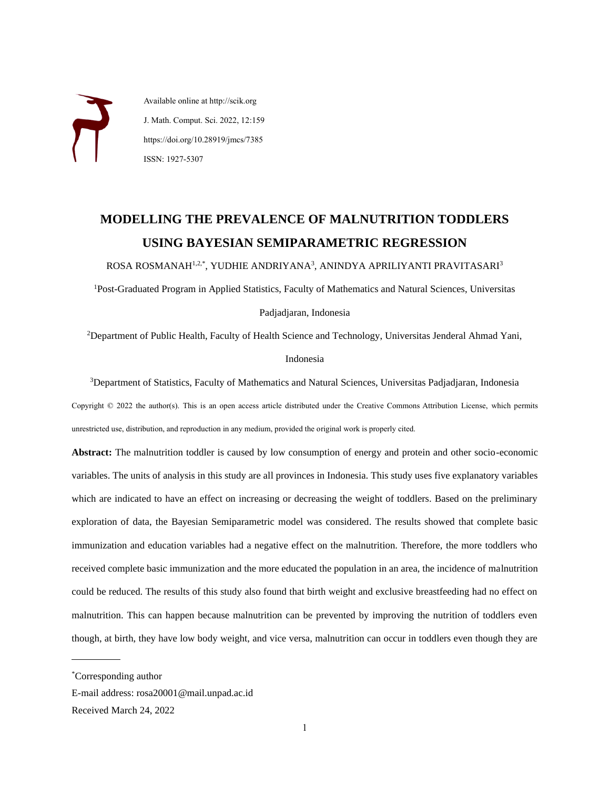Available online at http://scik.org J. Math. Comput. Sci. 2022, 12:159 https://doi.org/10.28919/jmcs/7385 ISSN: 1927-5307

# **MODELLING THE PREVALENCE OF MALNUTRITION TODDLERS USING BAYESIAN SEMIPARAMETRIC REGRESSION**

ROSA ROSMANAH<sup>1,2,\*</sup>, YUDHIE ANDRIYANA<sup>3</sup>, ANINDYA APRILIYANTI PRAVITASARI<sup>3</sup>

<sup>1</sup>Post-Graduated Program in Applied Statistics, Faculty of Mathematics and Natural Sciences, Universitas

Padjadjaran, Indonesia

<sup>2</sup>Department of Public Health, Faculty of Health Science and Technology, Universitas Jenderal Ahmad Yani,

#### Indonesia

<sup>3</sup>Department of Statistics, Faculty of Mathematics and Natural Sciences, Universitas Padjadjaran, Indonesia Copyright © 2022 the author(s). This is an open access article distributed under the Creative Commons Attribution License, which permits unrestricted use, distribution, and reproduction in any medium, provided the original work is properly cited.

**Abstract:** The malnutrition toddler is caused by low consumption of energy and protein and other socio-economic variables. The units of analysis in this study are all provinces in Indonesia. This study uses five explanatory variables which are indicated to have an effect on increasing or decreasing the weight of toddlers. Based on the preliminary exploration of data, the Bayesian Semiparametric model was considered. The results showed that complete basic immunization and education variables had a negative effect on the malnutrition. Therefore, the more toddlers who received complete basic immunization and the more educated the population in an area, the incidence of malnutrition could be reduced. The results of this study also found that birth weight and exclusive breastfeeding had no effect on malnutrition. This can happen because malnutrition can be prevented by improving the nutrition of toddlers even though, at birth, they have low body weight, and vice versa, malnutrition can occur in toddlers even though they are

 $\overline{a}$ 

<sup>\*</sup>Corresponding author

E-mail address: rosa20001@mail.unpad.ac.id

Received March 24, 2022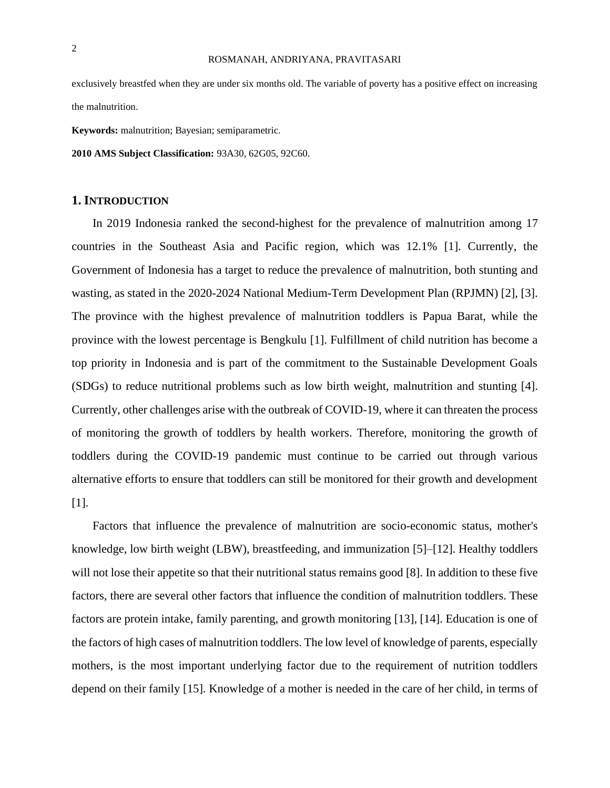#### ROSMANAH, ANDRIYANA, PRAVITASARI

exclusively breastfed when they are under six months old. The variable of poverty has a positive effect on increasing the malnutrition.

**Keywords:** malnutrition; Bayesian; semiparametric.

**2010 AMS Subject Classification:** 93A30, 62G05, 92C60.

## **1. INTRODUCTION**

In 2019 Indonesia ranked the second-highest for the prevalence of malnutrition among 17 countries in the Southeast Asia and Pacific region, which was 12.1% [1]. Currently, the Government of Indonesia has a target to reduce the prevalence of malnutrition, both stunting and wasting, as stated in the 2020-2024 National Medium-Term Development Plan (RPJMN) [2], [3]. The province with the highest prevalence of malnutrition toddlers is Papua Barat, while the province with the lowest percentage is Bengkulu [1]. Fulfillment of child nutrition has become a top priority in Indonesia and is part of the commitment to the Sustainable Development Goals (SDGs) to reduce nutritional problems such as low birth weight, malnutrition and stunting [4]. Currently, other challenges arise with the outbreak of COVID-19, where it can threaten the process of monitoring the growth of toddlers by health workers. Therefore, monitoring the growth of toddlers during the COVID-19 pandemic must continue to be carried out through various alternative efforts to ensure that toddlers can still be monitored for their growth and development [1].

Factors that influence the prevalence of malnutrition are socio-economic status, mother's knowledge, low birth weight (LBW), breastfeeding, and immunization [5]–[12]. Healthy toddlers will not lose their appetite so that their nutritional status remains good [8]. In addition to these five factors, there are several other factors that influence the condition of malnutrition toddlers. These factors are protein intake, family parenting, and growth monitoring [13], [14]. Education is one of the factors of high cases of malnutrition toddlers. The low level of knowledge of parents, especially mothers, is the most important underlying factor due to the requirement of nutrition toddlers depend on their family [15]. Knowledge of a mother is needed in the care of her child, in terms of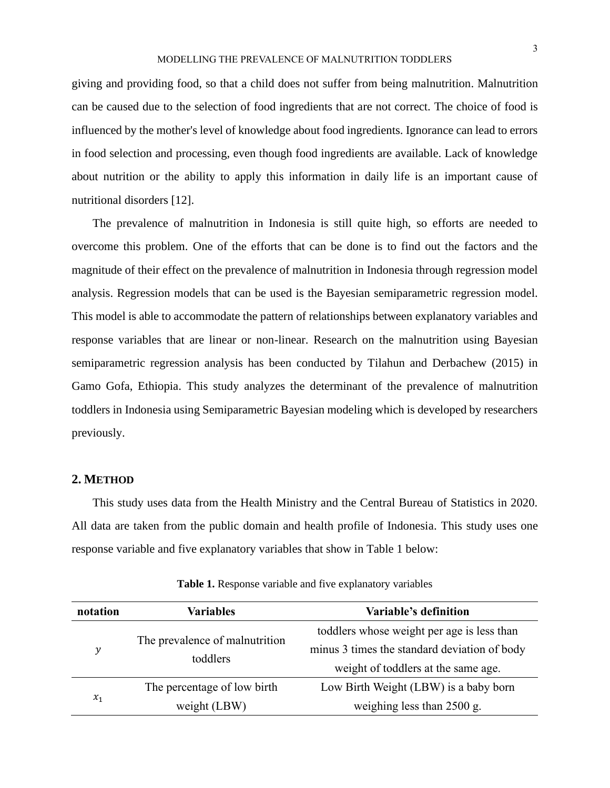giving and providing food, so that a child does not suffer from being malnutrition. Malnutrition can be caused due to the selection of food ingredients that are not correct. The choice of food is influenced by the mother's level of knowledge about food ingredients. Ignorance can lead to errors in food selection and processing, even though food ingredients are available. Lack of knowledge about nutrition or the ability to apply this information in daily life is an important cause of nutritional disorders [12].

The prevalence of malnutrition in Indonesia is still quite high, so efforts are needed to overcome this problem. One of the efforts that can be done is to find out the factors and the magnitude of their effect on the prevalence of malnutrition in Indonesia through regression model analysis. Regression models that can be used is the Bayesian semiparametric regression model. This model is able to accommodate the pattern of relationships between explanatory variables and response variables that are linear or non-linear. Research on the malnutrition using Bayesian semiparametric regression analysis has been conducted by Tilahun and Derbachew (2015) in Gamo Gofa, Ethiopia. This study analyzes the determinant of the prevalence of malnutrition toddlers in Indonesia using Semiparametric Bayesian modeling which is developed by researchers previously.

# **2. METHOD**

This study uses data from the Health Ministry and the Central Bureau of Statistics in 2020. All data are taken from the public domain and health profile of Indonesia. This study uses one response variable and five explanatory variables that show in Table 1 below:

| notation | <b>Variables</b>                           | Variable's definition                        |  |
|----------|--------------------------------------------|----------------------------------------------|--|
|          |                                            | toddlers whose weight per age is less than   |  |
| y        | The prevalence of malnutrition<br>toddlers | minus 3 times the standard deviation of body |  |
|          |                                            | weight of toddlers at the same age.          |  |
|          | The percentage of low birth                | Low Birth Weight (LBW) is a baby born        |  |
| $x_1$    | weight (LBW)                               | weighing less than $2500$ g.                 |  |

**Table 1.** Response variable and five explanatory variables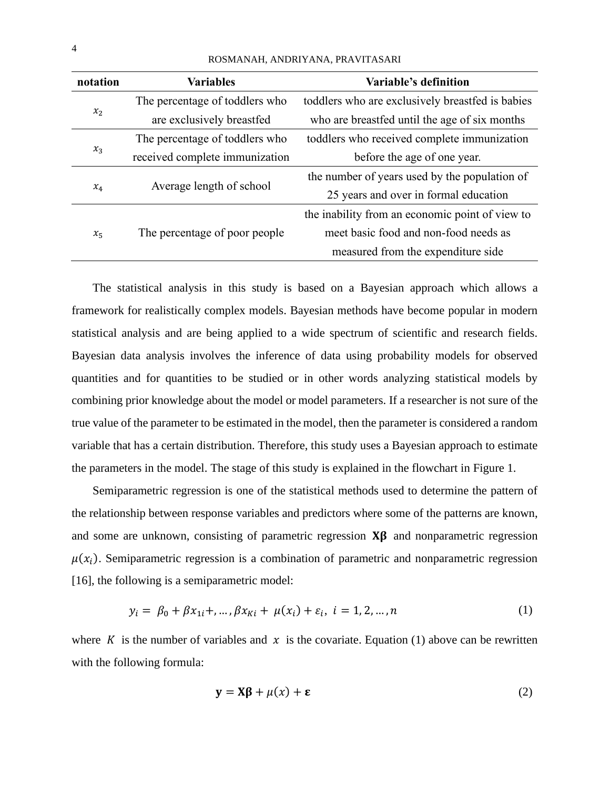| notation | <b>Variables</b>               | Variable's definition                                                                    |  |  |
|----------|--------------------------------|------------------------------------------------------------------------------------------|--|--|
| $x_2$    | The percentage of toddlers who | toddlers who are exclusively breastfed is babies                                         |  |  |
|          | are exclusively breastfed      | who are breastfed until the age of six months                                            |  |  |
|          | The percentage of toddlers who | toddlers who received complete immunization                                              |  |  |
| $x_3$    | received complete immunization | before the age of one year.                                                              |  |  |
|          |                                | the number of years used by the population of                                            |  |  |
| $x_4$    | Average length of school       | 25 years and over in formal education                                                    |  |  |
| $x_{5}$  |                                |                                                                                          |  |  |
|          | The percentage of poor people  | the inability from an economic point of view to<br>meet basic food and non-food needs as |  |  |
|          |                                | measured from the expenditure side                                                       |  |  |

ROSMANAH, ANDRIYANA, PRAVITASARI

The statistical analysis in this study is based on a Bayesian approach which allows a framework for realistically complex models. Bayesian methods have become popular in modern statistical analysis and are being applied to a wide spectrum of scientific and research fields. Bayesian data analysis involves the inference of data using probability models for observed quantities and for quantities to be studied or in other words analyzing statistical models by combining prior knowledge about the model or model parameters. If a researcher is not sure of the true value of the parameter to be estimated in the model, then the parameter is considered a random variable that has a certain distribution. Therefore, this study uses a Bayesian approach to estimate the parameters in the model. The stage of this study is explained in the flowchart in Figure 1.

Semiparametric regression is one of the statistical methods used to determine the pattern of the relationship between response variables and predictors where some of the patterns are known, and some are unknown, consisting of parametric regression  $X\beta$  and nonparametric regression  $\mu(x_i)$ . Semiparametric regression is a combination of parametric and nonparametric regression [16], the following is a semiparametric model:

$$
y_i = \beta_0 + \beta x_{1i} + \dots, \beta x_{Ki} + \mu(x_i) + \varepsilon_i, \ i = 1, 2, \dots, n
$$
 (1)

where K is the number of variables and  $x$  is the covariate. Equation (1) above can be rewritten with the following formula:

$$
y = X\beta + \mu(x) + \varepsilon
$$
 (2)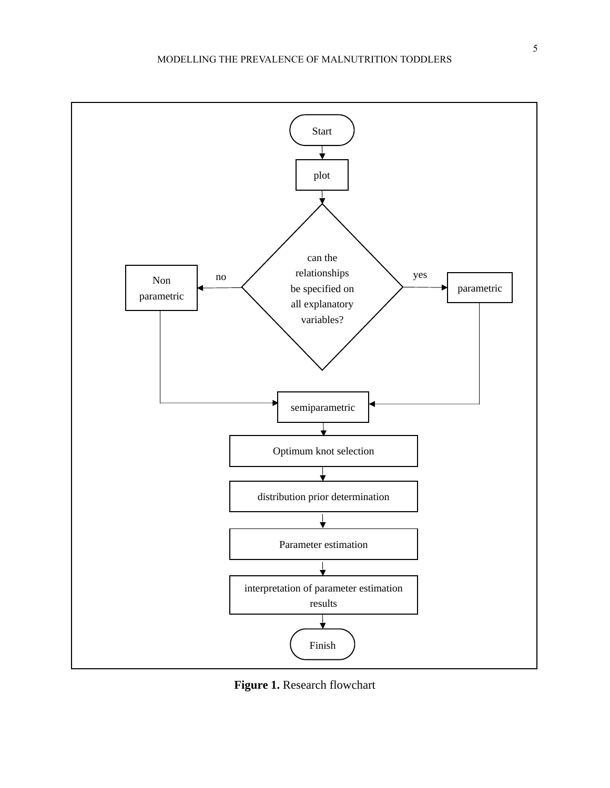

**Figure 1.** Research flowchart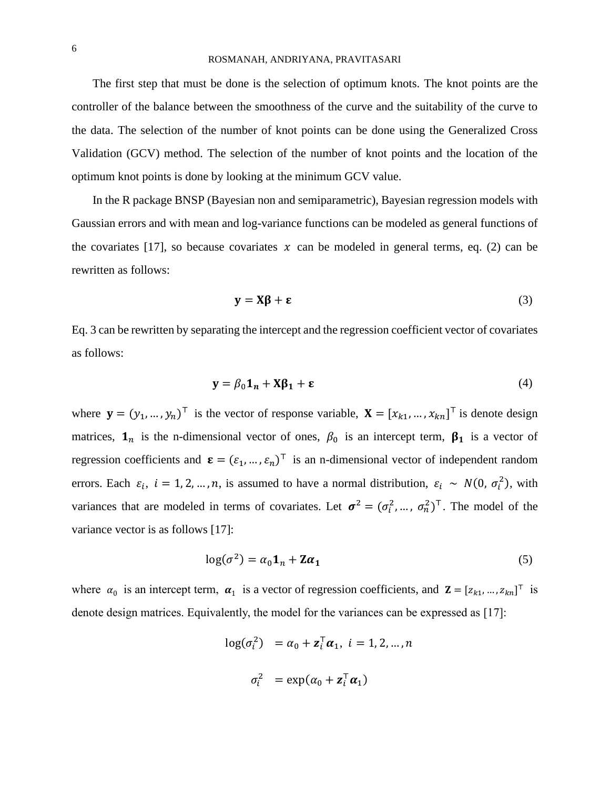## ROSMANAH, ANDRIYANA, PRAVITASARI

The first step that must be done is the selection of optimum knots. The knot points are the controller of the balance between the smoothness of the curve and the suitability of the curve to the data. The selection of the number of knot points can be done using the Generalized Cross Validation (GCV) method. The selection of the number of knot points and the location of the optimum knot points is done by looking at the minimum GCV value.

In the R package BNSP (Bayesian non and semiparametric), Bayesian regression models with Gaussian errors and with mean and log-variance functions can be modeled as general functions of the covariates [17], so because covariates  $x$  can be modeled in general terms, eq. (2) can be rewritten as follows:

$$
y = X\beta + \varepsilon
$$
 (3)

Eq. 3 can be rewritten by separating the intercept and the regression coefficient vector of covariates as follows:

$$
\mathbf{y} = \beta_0 \mathbf{1}_n + \mathbf{X} \beta_1 + \boldsymbol{\epsilon} \tag{4}
$$

where  $\mathbf{y} = (y_1, ..., y_n)^\top$  is the vector of response variable,  $\mathbf{X} = [x_{k1}, ..., x_{kn}]^\top$  is denote design matrices,  $\mathbf{1}_n$  is the n-dimensional vector of ones,  $\beta_0$  is an intercept term,  $\beta_1$  is a vector of regression coefficients and  $\boldsymbol{\epsilon} = (\epsilon_1, ..., \epsilon_n)^\top$  is an n-dimensional vector of independent random errors. Each  $\varepsilon_i$ ,  $i = 1, 2, ..., n$ , is assumed to have a normal distribution,  $\varepsilon_i \sim N(0, \sigma_i^2)$ , with variances that are modeled in terms of covariates. Let  $\sigma^2 = (\sigma_i^2, ..., \sigma_n^2)^\top$ . The model of the variance vector is as follows [17]:

$$
\log(\sigma^2) = \alpha_0 \mathbf{1}_n + \mathbf{Z} \alpha_1 \tag{5}
$$

where  $\alpha_0$  is an intercept term,  $\alpha_1$  is a vector of regression coefficients, and  $\mathbf{Z} = [z_{k1}, ..., z_{kn}]^\top$  is denote design matrices. Equivalently, the model for the variances can be expressed as [17]:

> $log(\sigma_i^2) = \alpha_0 + \mathbf{z}_i^{\mathsf{T}} \alpha_1, i = 1, 2, ..., n$  $\sigma_i^2$  = exp( $\alpha_0$  +  $\mathbf{z}_i^{\mathsf{T}} \boldsymbol{\alpha}_1$ )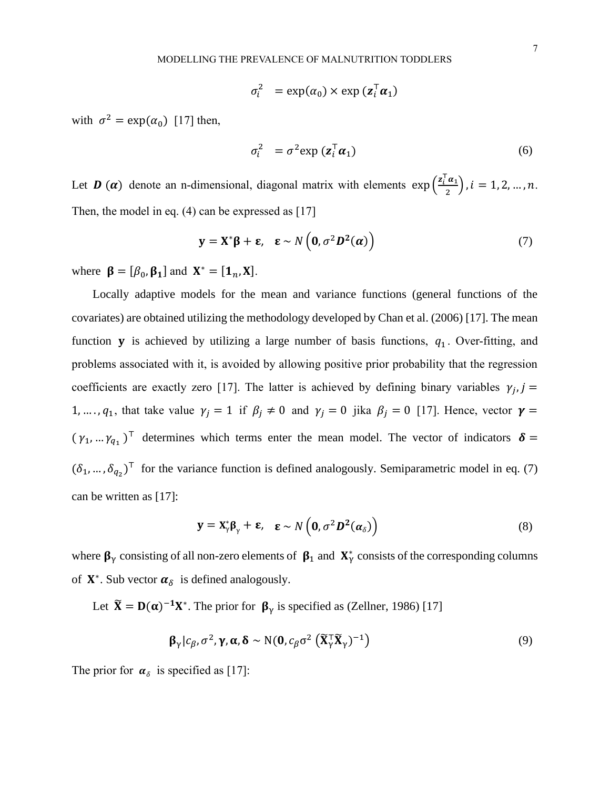$$
\sigma_i^2 = \exp(\alpha_0) \times \exp(\mathbf{z}_i^{\mathsf{T}} \boldsymbol{\alpha}_1)
$$

with  $\sigma^2 = \exp(\alpha_0)$  [17] then,

$$
\sigma_i^2 = \sigma^2 \exp\left(\mathbf{z}_i^{\mathsf{T}} \boldsymbol{\alpha}_1\right) \tag{6}
$$

Let **D** ( $\alpha$ ) denote an n-dimensional, diagonal matrix with elements  $\exp\left(\frac{\mathbf{z}_i^T\boldsymbol{\alpha}_1}{2}\right)$  $\frac{a_1}{2}$ ,  $i = 1, 2, ..., n$ . Then, the model in eq. (4) can be expressed as [17]

$$
\mathbf{y} = \mathbf{X}^* \boldsymbol{\beta} + \boldsymbol{\epsilon}, \quad \boldsymbol{\epsilon} \sim N\left(\mathbf{0}, \sigma^2 \mathbf{D}^2(\boldsymbol{\alpha})\right) \tag{7}
$$

where  $\beta = [\beta_0, \beta_1]$  and  $X^* = [\mathbf{1}_n, X]$ .

Locally adaptive models for the mean and variance functions (general functions of the covariates) are obtained utilizing the methodology developed by Chan et al. (2006) [17]. The mean function **y** is achieved by utilizing a large number of basis functions,  $q_1$ . Over-fitting, and problems associated with it, is avoided by allowing positive prior probability that the regression coefficients are exactly zero [17]. The latter is achieved by defining binary variables  $\gamma_j$ , j = 1, ...,  $q_1$ , that take value  $\gamma_j = 1$  if  $\beta_j \neq 0$  and  $\gamma_j = 0$  jika  $\beta_j = 0$  [17]. Hence, vector  $\gamma =$  $(\gamma_1, ..., \gamma_{q_1})^T$  determines which terms enter the mean model. The vector of indicators  $\delta =$  $(\delta_1, ..., \delta_{q_2})^T$  for the variance function is defined analogously. Semiparametric model in eq. (7) can be written as [17]:

$$
\mathbf{y} = \mathbf{X}_{\gamma}^* \boldsymbol{\beta}_{\gamma} + \boldsymbol{\epsilon}, \quad \boldsymbol{\epsilon} \sim N\left(\mathbf{0}, \sigma^2 \boldsymbol{D}^2(\boldsymbol{\alpha}_{\delta})\right)
$$
(8)

where  $\beta_{\gamma}$  consisting of all non-zero elements of  $\beta_1$  and  $X_{\gamma}^*$  consists of the corresponding columns of  $X^*$ . Sub vector  $\alpha_{\delta}$  is defined analogously.

Let  $\tilde{\mathbf{X}} = \mathbf{D}(\alpha)^{-1} \mathbf{X}^*$ . The prior for  $\beta_{\gamma}$  is specified as (Zellner, 1986) [17]

$$
\boldsymbol{\beta}_{\gamma} | c_{\beta}, \sigma^2, \boldsymbol{\gamma}, \boldsymbol{\alpha}, \boldsymbol{\delta} \sim \text{N}(\mathbf{0}, c_{\beta} \sigma^2 \left( \widetilde{\mathbf{X}}_{\gamma}^{\mathsf{T}} \widetilde{\mathbf{X}}_{\gamma} \right)^{-1} \tag{9}
$$

The prior for  $\alpha_{\delta}$  is specified as [17]: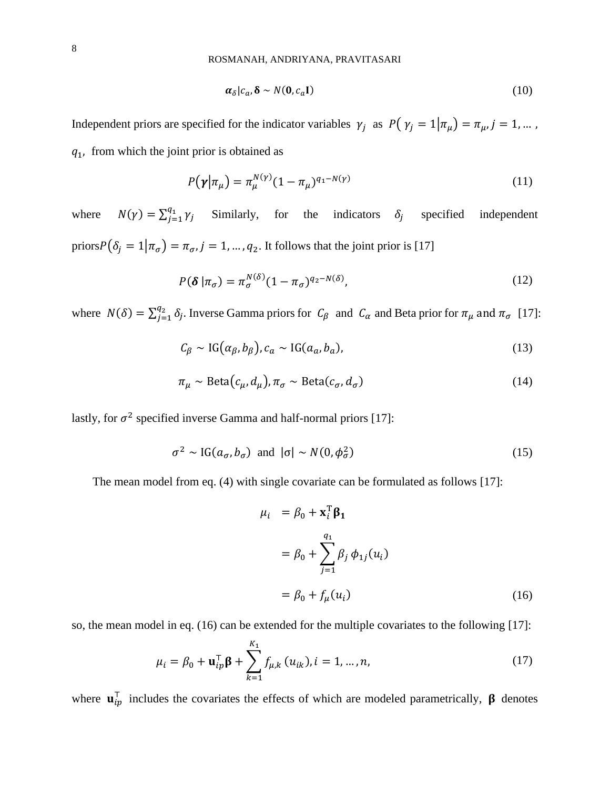$$
\alpha_{\delta}|c_a, \delta \sim N(\mathbf{0}, c_a \mathbf{I}) \tag{10}
$$

Independent priors are specified for the indicator variables  $\gamma_j$  as  $P(\gamma_j = 1 | \pi_\mu) = \pi_\mu, j = 1, \dots$ ,  $q_1$ , from which the joint prior is obtained as

$$
P(\gamma|\pi_{\mu}) = \pi_{\mu}^{N(\gamma)} (1 - \pi_{\mu})^{q_1 - N(\gamma)}
$$
\n(11)

where  $N(\gamma) = \sum_{j=1}^{q_1} \gamma_j$  $\int_{j=1}^{q_1} \gamma_j$  Similarly, for the indicators  $\delta_j$ specified independent priors $P(\delta_i = 1 | \pi_{\sigma}) = \pi_{\sigma}, j = 1, ..., q_2$ . It follows that the joint prior is [17]

$$
P(\boldsymbol{\delta} \mid \pi_{\sigma}) = \pi_{\sigma}^{N(\delta)} (1 - \pi_{\sigma})^{q_2 - N(\delta)},
$$
\n(12)

where  $N(\delta) = \sum_{j=1}^{q_2} \delta_j$ .  $\int_{j=1}^{q_2} \delta_j$ . Inverse Gamma priors for  $C_\beta$  and  $C_\alpha$  and Beta prior for  $\pi_\mu$  and  $\pi_\sigma$  [17]:

$$
C_{\beta} \sim \text{IG}(\alpha_{\beta}, b_{\beta}), c_a \sim \text{IG}(a_a, b_a), \tag{13}
$$

$$
\pi_{\mu} \sim \text{Beta}(c_{\mu}, d_{\mu}), \pi_{\sigma} \sim \text{Beta}(c_{\sigma}, d_{\sigma})
$$
\n(14)

lastly, for  $\sigma^2$  specified inverse Gamma and half-normal priors [17]:

$$
\sigma^2 \sim \text{IG}(a_{\sigma}, b_{\sigma}) \text{ and } |\sigma| \sim N(0, \phi_{\sigma}^2)
$$
 (15)

The mean model from eq. (4) with single covariate can be formulated as follows [17]:

$$
\mu_i = \beta_0 + \mathbf{x}_i^{\mathrm{T}} \boldsymbol{\beta}_1
$$
  

$$
= \beta_0 + \sum_{j=1}^{q_1} \beta_j \phi_{1j}(u_i)
$$
  

$$
= \beta_0 + f_\mu(u_i)
$$
 (16)

so, the mean model in eq. (16) can be extended for the multiple covariates to the following [17]:

$$
\mu_i = \beta_0 + \mathbf{u}_{ip}^{\mathsf{T}} \mathbf{\beta} + \sum_{k=1}^{K_1} f_{\mu,k} (u_{ik}), i = 1, ..., n,
$$
 (17)

where  $\mathbf{u}_{ip}^{\top}$  includes the covariates the effects of which are modeled parametrically,  $\beta$  denotes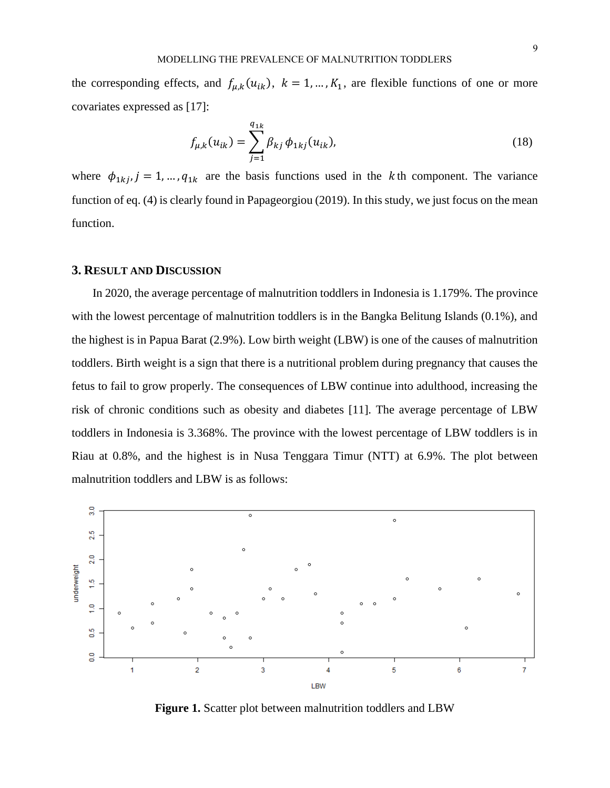the corresponding effects, and  $f_{\mu,k}(u_{ik}), k = 1, ..., K_1$ , are flexible functions of one or more covariates expressed as [17]:

$$
f_{\mu,k}(u_{ik}) = \sum_{j=1}^{q_{1k}} \beta_{kj} \phi_{1kj}(u_{ik}),
$$
\n(18)

where  $\phi_{1kj}$ ,  $j = 1, ..., q_{1k}$  are the basis functions used in the k<sup>th</sup> component. The variance function of eq. (4) is clearly found in Papageorgiou (2019). In this study, we just focus on the mean function.

# **3. RESULT AND DISCUSSION**

In 2020, the average percentage of malnutrition toddlers in Indonesia is 1.179%. The province with the lowest percentage of malnutrition toddlers is in the Bangka Belitung Islands (0.1%), and the highest is in Papua Barat (2.9%). Low birth weight (LBW) is one of the causes of malnutrition toddlers. Birth weight is a sign that there is a nutritional problem during pregnancy that causes the fetus to fail to grow properly. The consequences of LBW continue into adulthood, increasing the risk of chronic conditions such as obesity and diabetes [11]. The average percentage of LBW toddlers in Indonesia is 3.368%. The province with the lowest percentage of LBW toddlers is in Riau at 0.8%, and the highest is in Nusa Tenggara Timur (NTT) at 6.9%. The plot between malnutrition toddlers and LBW is as follows:



**Figure 1.** Scatter plot between malnutrition toddlers and LBW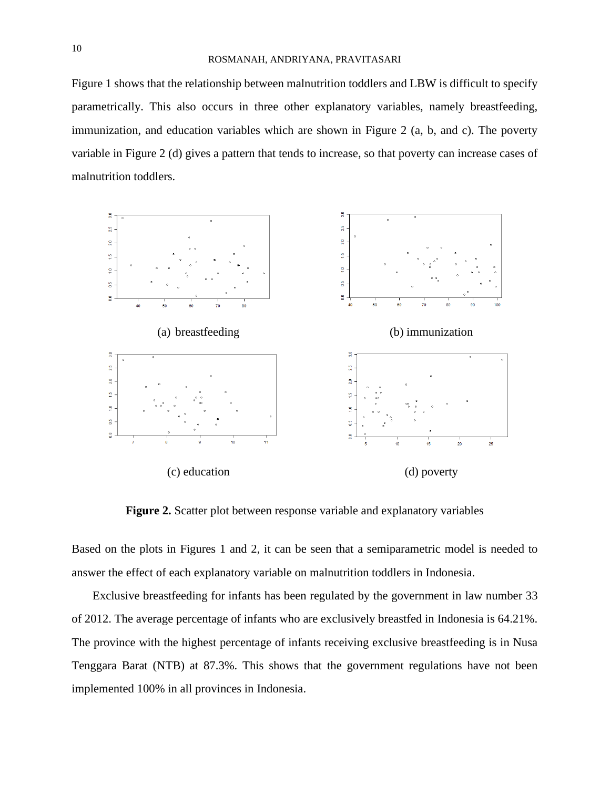Figure 1 shows that the relationship between malnutrition toddlers and LBW is difficult to specify parametrically. This also occurs in three other explanatory variables, namely breastfeeding, immunization, and education variables which are shown in Figure 2 (a, b, and c). The poverty variable in Figure 2 (d) gives a pattern that tends to increase, so that poverty can increase cases of malnutrition toddlers.



**Figure 2.** Scatter plot between response variable and explanatory variables

Based on the plots in Figures 1 and 2, it can be seen that a semiparametric model is needed to answer the effect of each explanatory variable on malnutrition toddlers in Indonesia.

Exclusive breastfeeding for infants has been regulated by the government in law number 33 of 2012. The average percentage of infants who are exclusively breastfed in Indonesia is 64.21%. The province with the highest percentage of infants receiving exclusive breastfeeding is in Nusa Tenggara Barat (NTB) at 87.3%. This shows that the government regulations have not been implemented 100% in all provinces in Indonesia.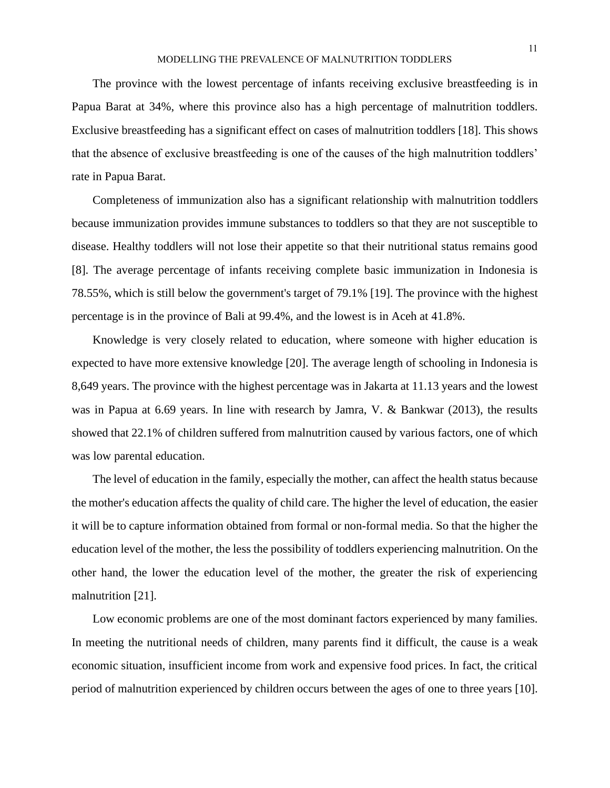The province with the lowest percentage of infants receiving exclusive breastfeeding is in Papua Barat at 34%, where this province also has a high percentage of malnutrition toddlers. Exclusive breastfeeding has a significant effect on cases of malnutrition toddlers [18]. This shows that the absence of exclusive breastfeeding is one of the causes of the high malnutrition toddlers' rate in Papua Barat.

Completeness of immunization also has a significant relationship with malnutrition toddlers because immunization provides immune substances to toddlers so that they are not susceptible to disease. Healthy toddlers will not lose their appetite so that their nutritional status remains good [8]. The average percentage of infants receiving complete basic immunization in Indonesia is 78.55%, which is still below the government's target of 79.1% [19]. The province with the highest percentage is in the province of Bali at 99.4%, and the lowest is in Aceh at 41.8%.

Knowledge is very closely related to education, where someone with higher education is expected to have more extensive knowledge [20]. The average length of schooling in Indonesia is 8,649 years. The province with the highest percentage was in Jakarta at 11.13 years and the lowest was in Papua at 6.69 years. In line with research by Jamra, V. & Bankwar (2013), the results showed that 22.1% of children suffered from malnutrition caused by various factors, one of which was low parental education.

The level of education in the family, especially the mother, can affect the health status because the mother's education affects the quality of child care. The higher the level of education, the easier it will be to capture information obtained from formal or non-formal media. So that the higher the education level of the mother, the less the possibility of toddlers experiencing malnutrition. On the other hand, the lower the education level of the mother, the greater the risk of experiencing malnutrition [21].

Low economic problems are one of the most dominant factors experienced by many families. In meeting the nutritional needs of children, many parents find it difficult, the cause is a weak economic situation, insufficient income from work and expensive food prices. In fact, the critical period of malnutrition experienced by children occurs between the ages of one to three years [10].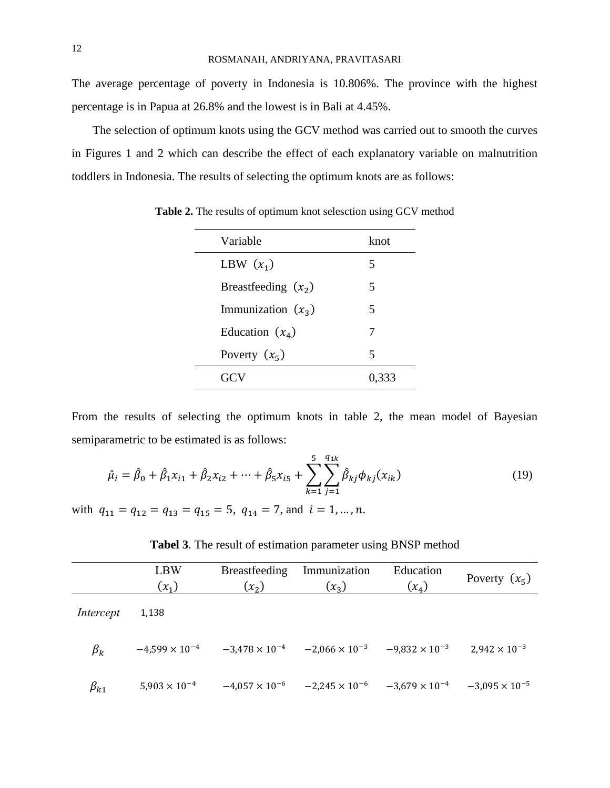The average percentage of poverty in Indonesia is 10.806%. The province with the highest percentage is in Papua at 26.8% and the lowest is in Bali at 4.45%.

The selection of optimum knots using the GCV method was carried out to smooth the curves in Figures 1 and 2 which can describe the effect of each explanatory variable on malnutrition toddlers in Indonesia. The results of selecting the optimum knots are as follows:

| Variable              | knot  |  |
|-----------------------|-------|--|
| LBW $(x_1)$           | 5     |  |
| Breastfeeding $(x_2)$ | 5     |  |
| Immunization $(x_3)$  | 5     |  |
| Education $(x_4)$     | 7     |  |
| Poverty $(x_5)$       | 5     |  |
|                       | 0,333 |  |

**Table 2.** The results of optimum knot selesction using GCV method

From the results of selecting the optimum knots in table 2, the mean model of Bayesian semiparametric to be estimated is as follows:

$$
\hat{\mu}_i = \hat{\beta}_0 + \hat{\beta}_1 x_{i1} + \hat{\beta}_2 x_{i2} + \dots + \hat{\beta}_5 x_{i5} + \sum_{k=1}^5 \sum_{j=1}^{q_{1k}} \hat{\beta}_{kj} \phi_{kj} (x_{ik})
$$
\n(19)

with  $q_{11} = q_{12} = q_{13} = q_{15} = 5$ ,  $q_{14} = 7$ , and  $i = 1, ..., n$ .

|              | <b>LBW</b><br>$(x_1)$   | <b>Breastfeeding</b><br>$(x_2)$ | Immunization<br>$(x_3)$                                                 | Education<br>$(x_4)$ | Poverty $(x_5)$         |
|--------------|-------------------------|---------------------------------|-------------------------------------------------------------------------|----------------------|-------------------------|
| Intercept    | 1,138                   |                                 |                                                                         |                      |                         |
| $\beta_k$    | $-4,599 \times 10^{-4}$ |                                 | $-3,478 \times 10^{-4}$ $-2,066 \times 10^{-3}$ $-9,832 \times 10^{-3}$ |                      | $2,942 \times 10^{-3}$  |
| $\beta_{k1}$ | $5,903 \times 10^{-4}$  |                                 | $-4.057 \times 10^{-6}$ $-2.245 \times 10^{-6}$ $-3.679 \times 10^{-4}$ |                      | $-3,095 \times 10^{-5}$ |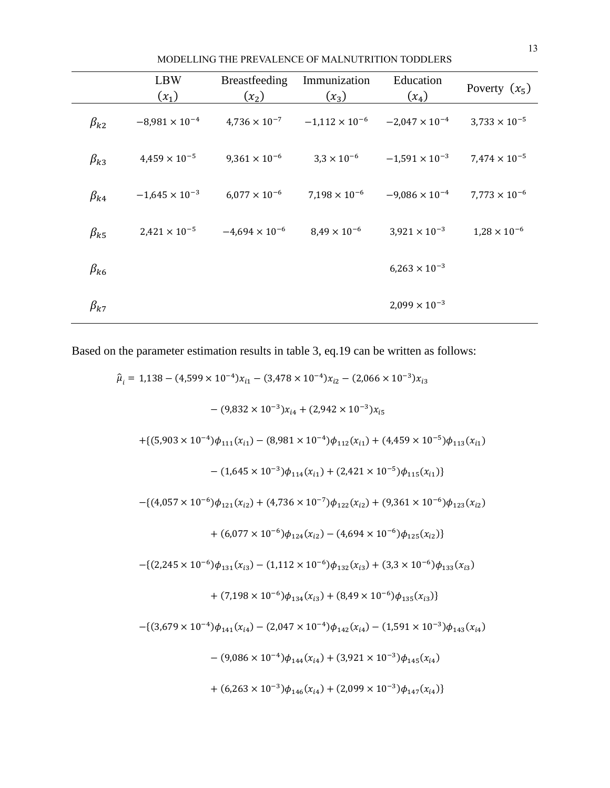|              | <b>LBW</b><br>$(x_1)$   | Breastfeeding<br>$(x_2)$ | Immunization<br>$(x_3)$ | Education<br>$(x_4)$    | Poverty $(x_5)$        |
|--------------|-------------------------|--------------------------|-------------------------|-------------------------|------------------------|
| $\beta_{k2}$ | $-8,981 \times 10^{-4}$ | $4,736 \times 10^{-7}$   | $-1,112 \times 10^{-6}$ | $-2,047 \times 10^{-4}$ | $3,733 \times 10^{-5}$ |
| $\beta_{k3}$ | $4,459 \times 10^{-5}$  | $9,361 \times 10^{-6}$   | $3.3 \times 10^{-6}$    | $-1,591 \times 10^{-3}$ | $7.474 \times 10^{-5}$ |
| $\beta_{k4}$ | $-1,645 \times 10^{-3}$ | $6.077 \times 10^{-6}$   | $7,198 \times 10^{-6}$  | $-9,086 \times 10^{-4}$ | $7,773 \times 10^{-6}$ |
| $\beta_{k5}$ | $2,421 \times 10^{-5}$  | $-4,694 \times 10^{-6}$  | $8.49 \times 10^{-6}$   | $3,921 \times 10^{-3}$  | $1,28 \times 10^{-6}$  |
| $\beta_{k6}$ |                         |                          |                         | $6,263 \times 10^{-3}$  |                        |
| $\beta_{k7}$ |                         |                          |                         | $2,099 \times 10^{-3}$  |                        |

MODELLING THE PREVALENCE OF MALNUTRITION TODDLERS

Based on the parameter estimation results in table 3, eq.19 can be written as follows:

$$
\hat{\mu}_{i} = 1,138 - (4,599 \times 10^{-4})x_{i1} - (3,478 \times 10^{-4})x_{i2} - (2,066 \times 10^{-3})x_{i3}
$$
\n
$$
- (9,832 \times 10^{-3})x_{i4} + (2,942 \times 10^{-3})x_{i5}
$$
\n
$$
+ \{ (5,903 \times 10^{-4})\phi_{111}(x_{i1}) - (8,981 \times 10^{-4})\phi_{112}(x_{i1}) + (4,459 \times 10^{-5})\phi_{113}(x_{i1})
$$
\n
$$
- (1,645 \times 10^{-3})\phi_{114}(x_{i1}) + (2,421 \times 10^{-5})\phi_{115}(x_{i1}) \}
$$
\n
$$
- \{ (4,057 \times 10^{-6})\phi_{121}(x_{i2}) + (4,736 \times 10^{-7})\phi_{122}(x_{i2}) + (9,361 \times 10^{-6})\phi_{123}(x_{i2})
$$
\n
$$
+ (6,077 \times 10^{-6})\phi_{124}(x_{i2}) - (4,694 \times 10^{-6})\phi_{125}(x_{i2}) \}
$$
\n
$$
- \{ (2,245 \times 10^{-6})\phi_{131}(x_{i3}) - (1,112 \times 10^{-6})\phi_{132}(x_{i3}) + (3,3 \times 10^{-6})\phi_{133}(x_{i3})
$$
\n
$$
+ (7,198 \times 10^{-6})\phi_{134}(x_{i3}) + (8,49 \times 10^{-6})\phi_{135}(x_{i3}) \}
$$
\n
$$
- \{ (3,679 \times 10^{-4})\phi_{141}(x_{i4}) - (2,047 \times 10^{-4})\phi_{142}(x_{i4}) - (1,591 \times 10^{-3})\phi_{143}(x_{i4})
$$
\n
$$
- (9,086 \times 10^{-4})\phi_{144}(x_{i4}) + (3,921 \times 10^{-3})\phi_{145}(x_{i4})
$$
\n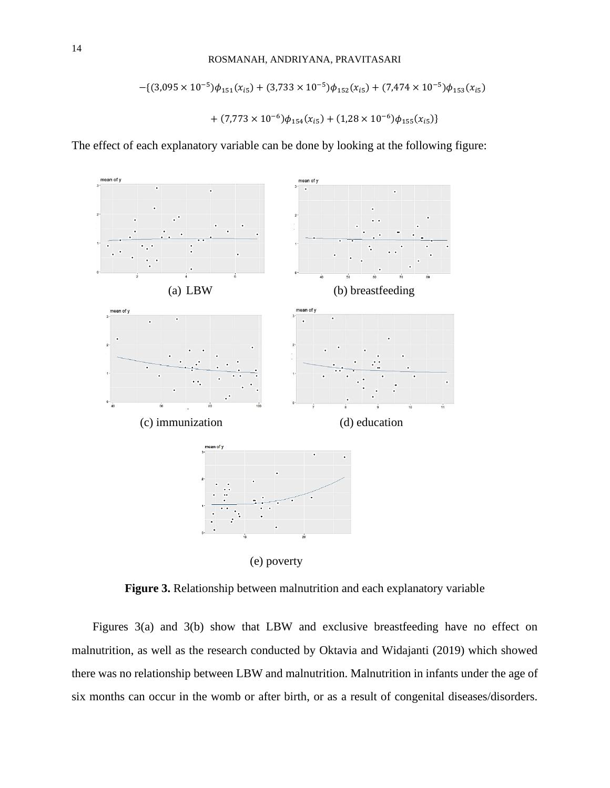$$
-(3,095 \times 10^{-5})\phi_{151}(x_{i5}) + (3,733 \times 10^{-5})\phi_{152}(x_{i5}) + (7,474 \times 10^{-5})\phi_{153}(x_{i5})
$$

$$
+ (7,773 \times 10^{-6})\phi_{154}(x_{i5}) + (1,28 \times 10^{-6})\phi_{155}(x_{i5})
$$

The effect of each explanatory variable can be done by looking at the following figure:



**Figure 3.** Relationship between malnutrition and each explanatory variable

Figures 3(a) and 3(b) show that LBW and exclusive breastfeeding have no effect on malnutrition, as well as the research conducted by Oktavia and Widajanti (2019) which showed there was no relationship between LBW and malnutrition. Malnutrition in infants under the age of six months can occur in the womb or after birth, or as a result of congenital diseases/disorders.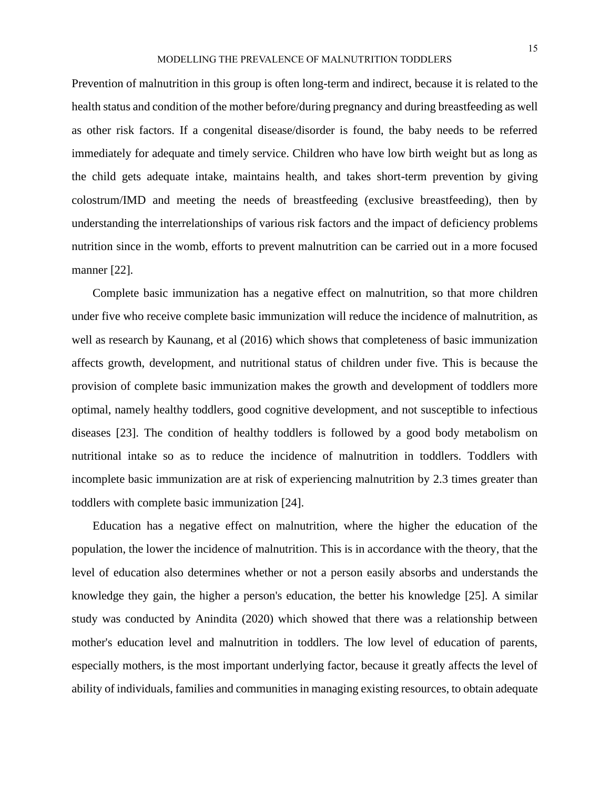#### MODELLING THE PREVALENCE OF MALNUTRITION TODDLERS

Prevention of malnutrition in this group is often long-term and indirect, because it is related to the health status and condition of the mother before/during pregnancy and during breastfeeding as well as other risk factors. If a congenital disease/disorder is found, the baby needs to be referred immediately for adequate and timely service. Children who have low birth weight but as long as the child gets adequate intake, maintains health, and takes short-term prevention by giving colostrum/IMD and meeting the needs of breastfeeding (exclusive breastfeeding), then by understanding the interrelationships of various risk factors and the impact of deficiency problems nutrition since in the womb, efforts to prevent malnutrition can be carried out in a more focused manner [22].

Complete basic immunization has a negative effect on malnutrition, so that more children under five who receive complete basic immunization will reduce the incidence of malnutrition, as well as research by Kaunang, et al (2016) which shows that completeness of basic immunization affects growth, development, and nutritional status of children under five. This is because the provision of complete basic immunization makes the growth and development of toddlers more optimal, namely healthy toddlers, good cognitive development, and not susceptible to infectious diseases [23]. The condition of healthy toddlers is followed by a good body metabolism on nutritional intake so as to reduce the incidence of malnutrition in toddlers. Toddlers with incomplete basic immunization are at risk of experiencing malnutrition by 2.3 times greater than toddlers with complete basic immunization [24].

Education has a negative effect on malnutrition, where the higher the education of the population, the lower the incidence of malnutrition. This is in accordance with the theory, that the level of education also determines whether or not a person easily absorbs and understands the knowledge they gain, the higher a person's education, the better his knowledge [25]. A similar study was conducted by Anindita (2020) which showed that there was a relationship between mother's education level and malnutrition in toddlers. The low level of education of parents, especially mothers, is the most important underlying factor, because it greatly affects the level of ability of individuals, families and communities in managing existing resources, to obtain adequate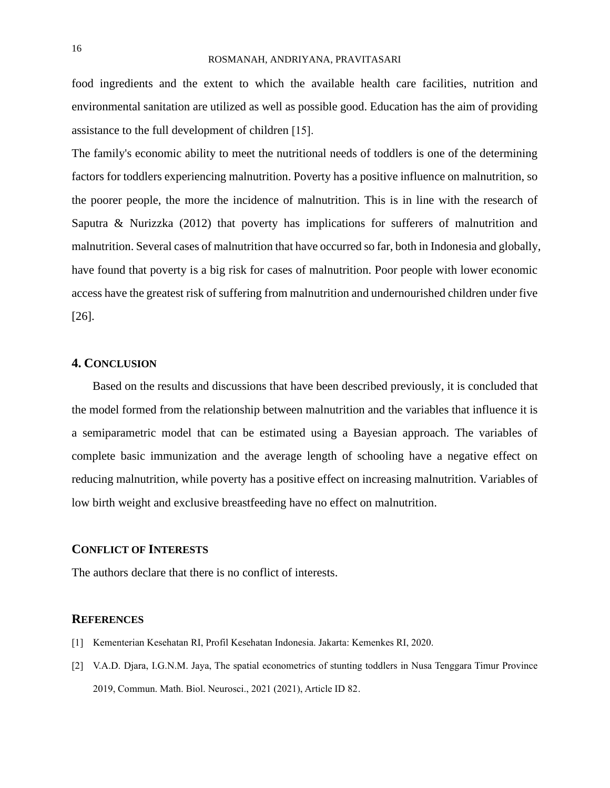food ingredients and the extent to which the available health care facilities, nutrition and environmental sanitation are utilized as well as possible good. Education has the aim of providing assistance to the full development of children [15].

The family's economic ability to meet the nutritional needs of toddlers is one of the determining factors for toddlers experiencing malnutrition. Poverty has a positive influence on malnutrition, so the poorer people, the more the incidence of malnutrition. This is in line with the research of Saputra & Nurizzka (2012) that poverty has implications for sufferers of malnutrition and malnutrition. Several cases of malnutrition that have occurred so far, both in Indonesia and globally, have found that poverty is a big risk for cases of malnutrition. Poor people with lower economic access have the greatest risk of suffering from malnutrition and undernourished children under five [26].

## **4. CONCLUSION**

Based on the results and discussions that have been described previously, it is concluded that the model formed from the relationship between malnutrition and the variables that influence it is a semiparametric model that can be estimated using a Bayesian approach. The variables of complete basic immunization and the average length of schooling have a negative effect on reducing malnutrition, while poverty has a positive effect on increasing malnutrition. Variables of low birth weight and exclusive breastfeeding have no effect on malnutrition.

## **CONFLICT OF INTERESTS**

The authors declare that there is no conflict of interests.

## **REFERENCES**

- [1] Kementerian Kesehatan RI, Profil Kesehatan Indonesia. Jakarta: Kemenkes RI, 2020.
- [2] V.A.D. Djara, I.G.N.M. Jaya, The spatial econometrics of stunting toddlers in Nusa Tenggara Timur Province 2019, Commun. Math. Biol. Neurosci., 2021 (2021), Article ID 82.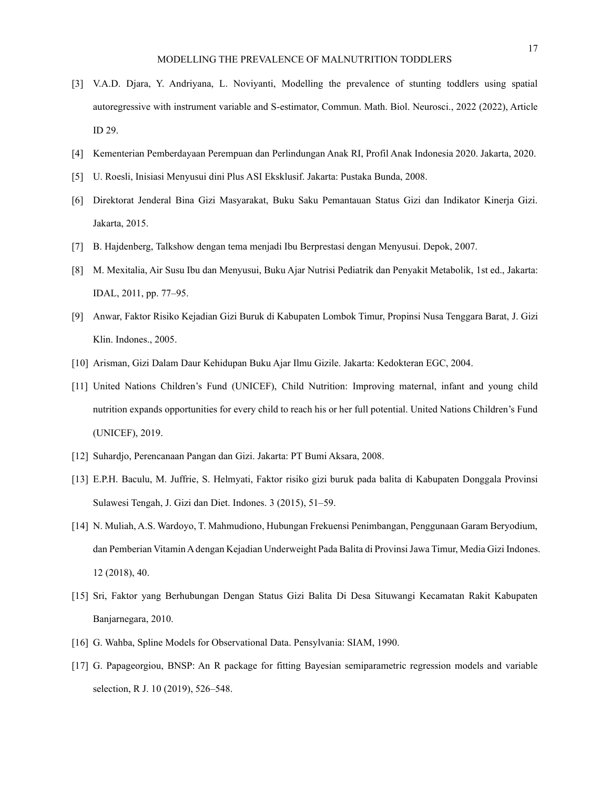- [3] V.A.D. Djara, Y. Andriyana, L. Noviyanti, Modelling the prevalence of stunting toddlers using spatial autoregressive with instrument variable and S-estimator, Commun. Math. Biol. Neurosci., 2022 (2022), Article ID 29.
- [4] Kementerian Pemberdayaan Perempuan dan Perlindungan Anak RI, Profil Anak Indonesia 2020. Jakarta, 2020.
- [5] U. Roesli, Inisiasi Menyusui dini Plus ASI Eksklusif. Jakarta: Pustaka Bunda, 2008.
- [6] Direktorat Jenderal Bina Gizi Masyarakat, Buku Saku Pemantauan Status Gizi dan Indikator Kinerja Gizi. Jakarta, 2015.
- [7] B. Hajdenberg, Talkshow dengan tema menjadi Ibu Berprestasi dengan Menyusui. Depok, 2007.
- [8] M. Mexitalia, Air Susu Ibu dan Menyusui, Buku Ajar Nutrisi Pediatrik dan Penyakit Metabolik, 1st ed., Jakarta: IDAL, 2011, pp. 77–95.
- [9] Anwar, Faktor Risiko Kejadian Gizi Buruk di Kabupaten Lombok Timur, Propinsi Nusa Tenggara Barat, J. Gizi Klin. Indones., 2005.
- [10] Arisman, Gizi Dalam Daur Kehidupan Buku Ajar Ilmu Gizile. Jakarta: Kedokteran EGC, 2004.
- [11] United Nations Children's Fund (UNICEF), Child Nutrition: Improving maternal, infant and young child nutrition expands opportunities for every child to reach his or her full potential. United Nations Children's Fund (UNICEF), 2019.
- [12] Suhardjo, Perencanaan Pangan dan Gizi. Jakarta: PT Bumi Aksara, 2008.
- [13] E.P.H. Baculu, M. Juffrie, S. Helmyati, Faktor risiko gizi buruk pada balita di Kabupaten Donggala Provinsi Sulawesi Tengah, J. Gizi dan Diet. Indones. 3 (2015), 51–59.
- [14] N. Muliah, A.S. Wardoyo, T. Mahmudiono, Hubungan Frekuensi Penimbangan, Penggunaan Garam Beryodium, dan Pemberian Vitamin A dengan Kejadian Underweight Pada Balita di Provinsi Jawa Timur, Media Gizi Indones. 12 (2018), 40.
- [15] Sri, Faktor yang Berhubungan Dengan Status Gizi Balita Di Desa Situwangi Kecamatan Rakit Kabupaten Banjarnegara, 2010.
- [16] G. Wahba, Spline Models for Observational Data. Pensylvania: SIAM, 1990.
- [17] G. Papageorgiou, BNSP: An R package for fitting Bayesian semiparametric regression models and variable selection, R J. 10 (2019), 526–548.